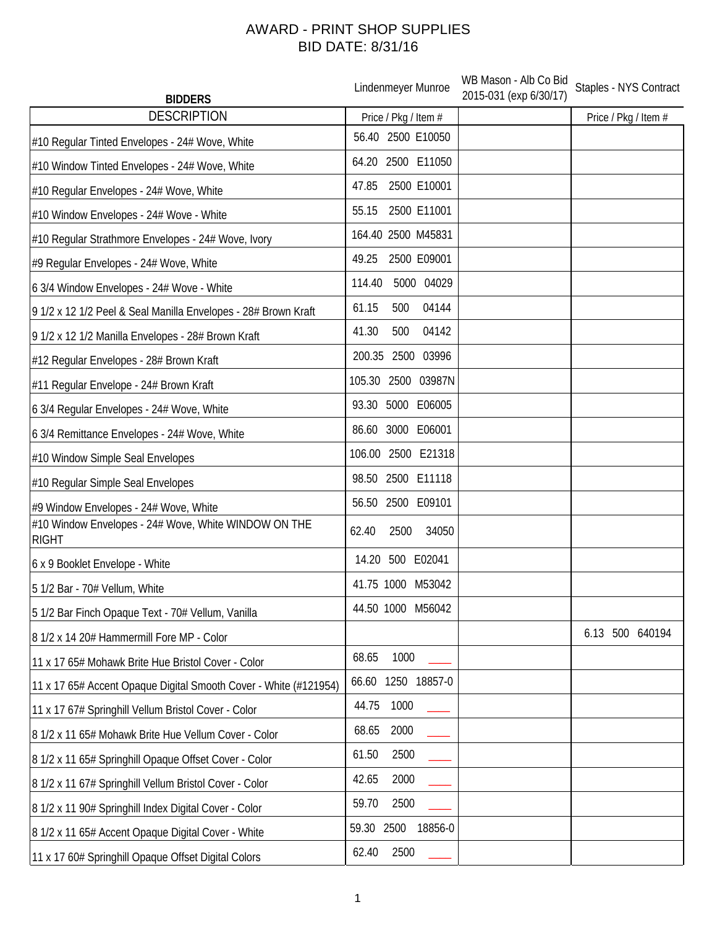## AWARD - PRINT SHOP SUPPLIES BID DATE: 8/31/16

| <b>BIDDERS</b>                                                       | Lindenmeyer Munroe       | WB Mason - Alb Co Bid<br>2015-031 (exp 6/30/17) | Staples - NYS Contract |
|----------------------------------------------------------------------|--------------------------|-------------------------------------------------|------------------------|
| <b>DESCRIPTION</b>                                                   | Price / Pkg / Item #     |                                                 | Price / Pkg / Item #   |
| #10 Regular Tinted Envelopes - 24# Wove, White                       | 56.40 2500 E10050        |                                                 |                        |
| #10 Window Tinted Envelopes - 24# Wove, White                        | 64.20 2500 E11050        |                                                 |                        |
| #10 Regular Envelopes - 24# Wove, White                              | 2500 E10001<br>47.85     |                                                 |                        |
| #10 Window Envelopes - 24# Wove - White                              | 2500 E11001<br>55.15     |                                                 |                        |
| #10 Regular Strathmore Envelopes - 24# Wove, Ivory                   | 164.40 2500 M45831       |                                                 |                        |
| #9 Regular Envelopes - 24# Wove, White                               | 2500 E09001<br>49.25     |                                                 |                        |
| 6 3/4 Window Envelopes - 24# Wove - White                            | 5000 04029<br>114.40     |                                                 |                        |
| 9 1/2 x 12 1/2 Peel & Seal Manilla Envelopes - 28# Brown Kraft       | 04144<br>61.15<br>500    |                                                 |                        |
| 9 1/2 x 12 1/2 Manilla Envelopes - 28# Brown Kraft                   | 41.30<br>04142<br>500    |                                                 |                        |
| #12 Regular Envelopes - 28# Brown Kraft                              | 200.35 2500 03996        |                                                 |                        |
| #11 Regular Envelope - 24# Brown Kraft                               | 105.30 2500 03987N       |                                                 |                        |
| 6 3/4 Regular Envelopes - 24# Wove, White                            | 93.30 5000 E06005        |                                                 |                        |
| 6 3/4 Remittance Envelopes - 24# Wove, White                         | 86.60 3000 E06001        |                                                 |                        |
| #10 Window Simple Seal Envelopes                                     | 106.00 2500 E21318       |                                                 |                        |
| #10 Regular Simple Seal Envelopes                                    | 98.50 2500 E11118        |                                                 |                        |
| #9 Window Envelopes - 24# Wove, White                                | 56.50 2500 E09101        |                                                 |                        |
| #10 Window Envelopes - 24# Wove, White WINDOW ON THE<br><b>RIGHT</b> | 62.40<br>2500<br>34050   |                                                 |                        |
| 6 x 9 Booklet Envelope - White                                       | 14.20 500 E02041         |                                                 |                        |
| 5 1/2 Bar - 70# Vellum, White                                        | 41.75 1000 M53042        |                                                 |                        |
| 5 1/2 Bar Finch Opaque Text - 70# Vellum, Vanilla                    | 44.50 1000 M56042        |                                                 |                        |
| 8 1/2 x 14 20# Hammermill Fore MP - Color                            |                          |                                                 | 500 640194<br>6.13     |
| 11 x 17 65# Mohawk Brite Hue Bristol Cover - Color                   | 68.65<br>1000            |                                                 |                        |
| 11 x 17 65# Accent Opaque Digital Smooth Cover - White (#121954)     | 66.60 1250 18857-0       |                                                 |                        |
| 11 x 17 67# Springhill Vellum Bristol Cover - Color                  | 44.75<br>1000            |                                                 |                        |
| 8 1/2 x 11 65# Mohawk Brite Hue Vellum Cover - Color                 | 2000<br>68.65            |                                                 |                        |
| 8 1/2 x 11 65# Springhill Opaque Offset Cover - Color                | 61.50<br>2500            |                                                 |                        |
| 8 1/2 x 11 67# Springhill Vellum Bristol Cover - Color               | 2000<br>42.65            |                                                 |                        |
| 8 1/2 x 11 90# Springhill Index Digital Cover - Color                | 59.70<br>2500            |                                                 |                        |
| 8 1/2 x 11 65# Accent Opaque Digital Cover - White                   | 59.30<br>2500<br>18856-0 |                                                 |                        |
| 11 x 17 60# Springhill Opaque Offset Digital Colors                  | 62.40<br>2500            |                                                 |                        |